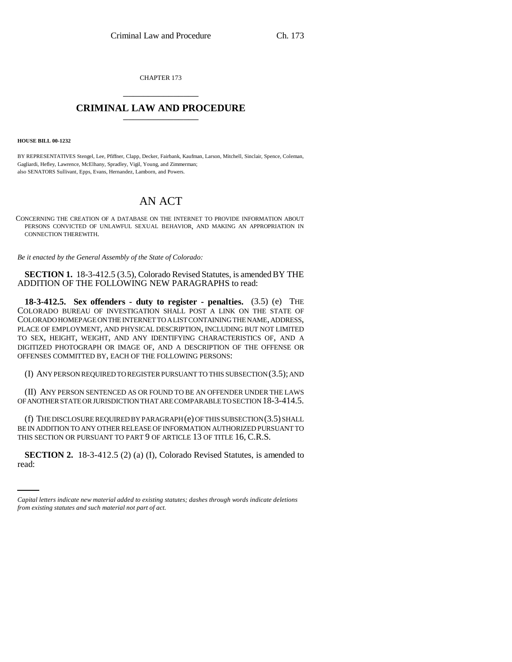CHAPTER 173 \_\_\_\_\_\_\_\_\_\_\_\_\_\_\_

## **CRIMINAL LAW AND PROCEDURE** \_\_\_\_\_\_\_\_\_\_\_\_\_\_\_

**HOUSE BILL 00-1232** 

BY REPRESENTATIVES Stengel, Lee, Pfiffner, Clapp, Decker, Fairbank, Kaufman, Larson, Mitchell, Sinclair, Spence, Coleman, Gagliardi, Hefley, Lawrence, McElhany, Spradley, Vigil, Young, and Zimmerman; also SENATORS Sullivant, Epps, Evans, Hernandez, Lamborn, and Powers.

## AN ACT

CONCERNING THE CREATION OF A DATABASE ON THE INTERNET TO PROVIDE INFORMATION ABOUT PERSONS CONVICTED OF UNLAWFUL SEXUAL BEHAVIOR, AND MAKING AN APPROPRIATION IN CONNECTION THEREWITH.

*Be it enacted by the General Assembly of the State of Colorado:*

**SECTION 1.** 18-3-412.5 (3.5), Colorado Revised Statutes, is amended BY THE ADDITION OF THE FOLLOWING NEW PARAGRAPHS to read:

**18-3-412.5. Sex offenders - duty to register - penalties.** (3.5) (e) THE COLORADO BUREAU OF INVESTIGATION SHALL POST A LINK ON THE STATE OF COLORADO HOMEPAGE ON THE INTERNET TO A LIST CONTAINING THE NAME, ADDRESS, PLACE OF EMPLOYMENT, AND PHYSICAL DESCRIPTION, INCLUDING BUT NOT LIMITED TO SEX, HEIGHT, WEIGHT, AND ANY IDENTIFYING CHARACTERISTICS OF, AND A DIGITIZED PHOTOGRAPH OR IMAGE OF, AND A DESCRIPTION OF THE OFFENSE OR OFFENSES COMMITTED BY, EACH OF THE FOLLOWING PERSONS:

(I) ANY PERSON REQUIRED TO REGISTER PURSUANT TO THIS SUBSECTION (3.5); AND

(II) ANY PERSON SENTENCED AS OR FOUND TO BE AN OFFENDER UNDER THE LAWS OF ANOTHER STATE OR JURISDICTION THAT ARE COMPARABLE TO SECTION 18-3-414.5.

(f) THE DISCLOSURE REQUIRED BY PARAGRAPH (e) OF THIS SUBSECTION (3.5) SHALL BE IN ADDITION TO ANY OTHER RELEASE OF INFORMATION AUTHORIZED PURSUANT TO THIS SECTION OR PURSUANT TO PART 9 OF ARTICLE 13 OF TITLE 16, C.R.S.

 $\frac{1}{2}$ **SECTION 2.** 18-3-412.5 (2) (a) (I), Colorado Revised Statutes, is amended to read:

*Capital letters indicate new material added to existing statutes; dashes through words indicate deletions from existing statutes and such material not part of act.*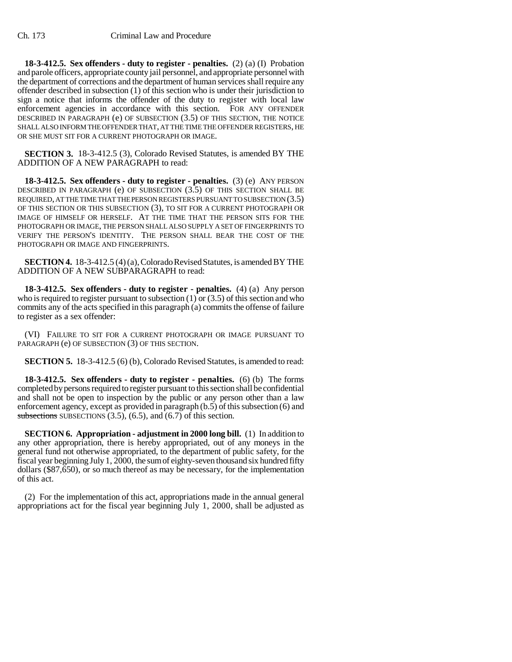**18-3-412.5. Sex offenders - duty to register - penalties.** (2) (a) (I) Probation and parole officers, appropriate county jail personnel, and appropriate personnel with the department of corrections and the department of human services shall require any offender described in subsection (1) of this section who is under their jurisdiction to sign a notice that informs the offender of the duty to register with local law enforcement agencies in accordance with this section. FOR ANY OFFENDER DESCRIBED IN PARAGRAPH (e) OF SUBSECTION (3.5) OF THIS SECTION, THE NOTICE SHALL ALSO INFORM THE OFFENDER THAT, AT THE TIME THE OFFENDER REGISTERS, HE OR SHE MUST SIT FOR A CURRENT PHOTOGRAPH OR IMAGE.

**SECTION 3.** 18-3-412.5 (3), Colorado Revised Statutes, is amended BY THE ADDITION OF A NEW PARAGRAPH to read:

**18-3-412.5. Sex offenders - duty to register - penalties.** (3) (e) ANY PERSON DESCRIBED IN PARAGRAPH (e) OF SUBSECTION (3.5) OF THIS SECTION SHALL BE REQUIRED, AT THE TIME THAT THE PERSON REGISTERS PURSUANT TO SUBSECTION (3.5) OF THIS SECTION OR THIS SUBSECTION (3), TO SIT FOR A CURRENT PHOTOGRAPH OR IMAGE OF HIMSELF OR HERSELF. AT THE TIME THAT THE PERSON SITS FOR THE PHOTOGRAPH OR IMAGE, THE PERSON SHALL ALSO SUPPLY A SET OF FINGERPRINTS TO VERIFY THE PERSON'S IDENTITY. THE PERSON SHALL BEAR THE COST OF THE PHOTOGRAPH OR IMAGE AND FINGERPRINTS.

**SECTION 4.** 18-3-412.5 (4) (a), Colorado Revised Statutes, is amended BY THE ADDITION OF A NEW SUBPARAGRAPH to read:

**18-3-412.5. Sex offenders - duty to register - penalties.** (4) (a) Any person who is required to register pursuant to subsection  $(1)$  or  $(3.5)$  of this section and who commits any of the acts specified in this paragraph (a) commits the offense of failure to register as a sex offender:

(VI) FAILURE TO SIT FOR A CURRENT PHOTOGRAPH OR IMAGE PURSUANT TO PARAGRAPH (e) OF SUBSECTION (3) OF THIS SECTION.

**SECTION 5.** 18-3-412.5 (6) (b), Colorado Revised Statutes, is amended to read:

**18-3-412.5. Sex offenders - duty to register - penalties.** (6) (b) The forms completed by persons required to register pursuant to this section shall be confidential and shall not be open to inspection by the public or any person other than a law enforcement agency, except as provided in paragraph (b.5) of this subsection (6) and subsections SUBSECTIONS  $(3.5)$ ,  $(6.5)$ , and  $(6.7)$  of this section.

**SECTION 6. Appropriation - adjustment in 2000 long bill.** (1) In addition to any other appropriation, there is hereby appropriated, out of any moneys in the general fund not otherwise appropriated, to the department of public safety, for the fiscal year beginning July 1, 2000, the sum of eighty-seven thousand six hundred fifty dollars (\$87,650), or so much thereof as may be necessary, for the implementation of this act.

(2) For the implementation of this act, appropriations made in the annual general appropriations act for the fiscal year beginning July 1, 2000, shall be adjusted as